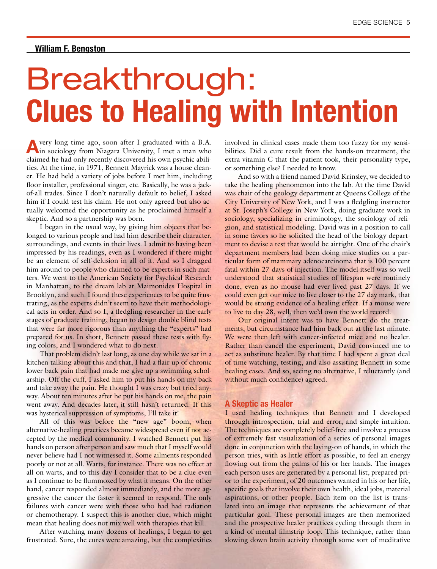## **William F. Bengston**

# Breakthrough: **Clues to Healing with Intention**

**A**very long time ago, soon after I graduated with a B.A. in sociology from Niagara University, I met a man who claimed he had only recently discovered his own psychic abilities. At the time, in 1971, Bennett Mayrick was a house cleaner. He had held a variety of jobs before I met him, including floor installer, professional singer, etc. Basically, he was a jackof-all trades. Since I don't naturally default to belief, I asked him if I could test his claim. He not only agreed but also actually welcomed the opportunity as he proclaimed himself a skeptic. And so a partnership was born.

I began in the usual way, by giving him objects that belonged to various people and had him describe their character, surroundings, and events in their lives. I admit to having been impressed by his readings, even as I wondered if there might be an element of self-delusion in all of it. And so I dragged him around to people who claimed to be experts in such matters. We went to the American Society for Psychical Research in Manhattan, to the dream lab at Maimonides Hospital in Brooklyn, and such. I found these experiences to be quite frustrating, as the experts didn't seem to have their methodological acts in order. And so I, a fledgling researcher in the early stages of graduate training, began to design double blind tests that were far more rigorous than anything the "experts" had prepared for us. In short, Bennett passed these tests with flying colors, and I wondered what to do next.

That problem didn't last long, as one day while we sat in a kitchen talking about this and that, I had a flair up of chronic lower back pain that had made me give up a swimming scholarship. Off the cuff, I asked him to put his hands on my back and take away the pain. He thought I was crazy but tried anyway. About ten minutes after he put his hands on me, the pain went away. And decades later, it still hasn't returned. If this was hysterical suppression of symptoms, I'll take it!

All of this was before the "new age" boom, when alternative-healing practices became widespread even if not accepted by the medical community. I watched Bennett put his hands on person after person and saw much that I myself would never believe had I not witnessed it. Some ailments responded poorly or not at all. Warts, for instance. There was no effect at all on warts, and to this day I consider that to be a clue even as I continue to be flummoxed by what it means. On the other hand, cancer responded almost immediately, and the more aggressive the cancer the faster it seemed to respond. The only failures with cancer were with those who had had radiation or chemotherapy. I suspect this is another clue, which might mean that healing does not mix well with therapies that kill.

After watching many dozens of healings, I began to get frustrated. Sure, the cures were amazing, but the complexities involved in clinical cases made them too fuzzy for my sensibilities. Did a cure result from the hands-on treatment, the extra vitamin C that the patient took, their personality type, or something else? I needed to know.

And so with a friend named David Krinsley, we decided to take the healing phenomenon into the lab. At the time David was chair of the geology department at Queens College of the City University of New York, and I was a fledgling instructor at St. Joseph's College in New York, doing graduate work in sociology, specializing in criminology, the sociology of religion, and statistical modeling. David was in a position to call in some favors so he solicited the head of the biology department to devise a test that would be airtight. One of the chair's department members had been doing mice studies on a particular form of mammary adenocarcinoma that is 100 percent fatal within 27 days of injection. The model itself was so well understood that statistical studies of lifespan were routinely done, even as no mouse had ever lived past 27 days. If we could even get our mice to live closer to the 27 day mark, that would be strong evidence of a healing effect. If a mouse were to live to day 28, well, then we'd own the world record.

Our original intent was to have Bennett do the treatments, but circumstance had him back out at the last minute. We were then left with cancer-infected mice and no healer. Rather than cancel the experiment, David convinced me to act as substitute healer. By that time I had spent a great deal of time watching, testing, and also assisting Bennett in some healing cases. And so, seeing no alternative, I reluctantly (and without much confidence) agreed.

#### **A Skeptic as Healer**

I used healing techniques that Bennett and I developed through introspection, trial and error, and simple intuition. The techniques are completely belief-free and involve a process of extremely fast visualization of a series of personal images done in conjunction with the laying-on of hands, in which the person tries, with as little effort as possible, to feel an energy flowing out from the palms of his or her hands. The images each person uses are generated by a personal list, prepared prior to the experiment, of 20 outcomes wanted in his or her life, specific goals that involve their own health, ideal jobs, material aspirations, or other people. Each item on the list is translated into an image that represents the achievement of that particular goal. These personal images are then memorized and the prospective healer practices cycling through them in a kind of mental filmstrip loop. This technique, rather than slowing down brain activity through some sort of meditative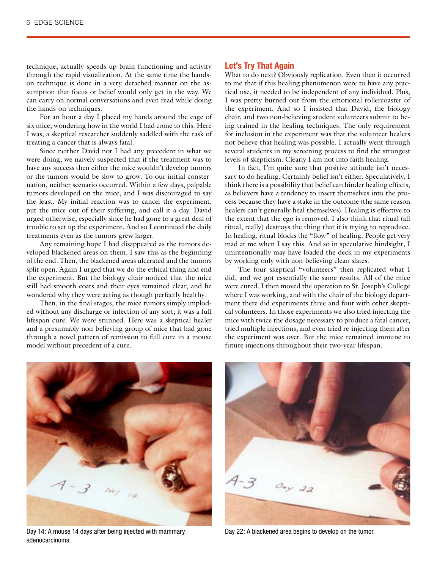technique, actually speeds up brain functioning and activity through the rapid visualization. At the same time the handson technique is done in a very detached manner on the assumption that focus or belief would only get in the way. We can carry on normal conversations and even read while doing the hands-on techniques.

For an hour a day I placed my hands around the cage of six mice, wondering how in the world I had come to this. Here I was, a skeptical researcher suddenly saddled with the task of treating a cancer that is always fatal.

Since neither David nor I had any precedent in what we were doing, we naively suspected that if the treatment was to have any success then either the mice wouldn't develop tumors or the tumors would be slow to grow. To our initial consternation, neither scenario occurred. Within a few days, palpable tumors developed on the mice, and I was discouraged to say the least. My initial reaction was to cancel the experiment, put the mice out of their suffering, and call it a day. David urged otherwise, especially since he had gone to a great deal of trouble to set up the experiment. And so I continued the daily treatments even as the tumors grew larger.

Any remaining hope I had disappeared as the tumors developed blackened areas on them. I saw this as the beginning of the end. Then, the blackened areas ulcerated and the tumors split open. Again I urged that we do the ethical thing and end the experiment. But the biology chair noticed that the mice still had smooth coats and their eyes remained clear, and he wondered why they were acting as though perfectly healthy.

Then, in the final stages, the mice tumors simply imploded without any discharge or infection of any sort; it was a full lifespan cure. We were stunned. Here was a skeptical healer and a presumably non-believing group of mice that had gone through a novel pattern of remission to full cure in a mouse model without precedent of a cure.

## **Let's Try That Again**

What to do next? Obviously replication. Even then it occurred to me that if this healing phenomenon were to have any practical use, it needed to be independent of any individual. Plus, I was pretty burned out from the emotional rollercoaster of the experiment. And so I insisted that David, the biology chair, and two non-believing student volunteers submit to being trained in the healing techniques. The only requirement for inclusion in the experiment was that the volunteer healers not believe that healing was possible. I actually went through several students in my screening process to find the strongest levels of skepticism. Clearly I am not into faith healing.

In fact, I'm quite sure that positive attitude isn't necessary to do healing. Certainly belief isn't either. Speculatively, I think there is a possibility that belief can hinder healing effects, as believers have a tendency to insert themselves into the process because they have a stake in the outcome (the same reason healers can't generally heal themselves). Healing is effective to the extent that the ego is removed. I also think that ritual (all ritual, really) destroys the thing that it is trying to reproduce. In healing, ritual blocks the "flow" of healing. People get very mad at me when I say this. And so in speculative hindsight, I unintentionally may have loaded the deck in my experiments by working only with non-believing clean slates.

The four skeptical "volunteers" then replicated what I did, and we got essentially the same results. All of the mice were cured. I then moved the operation to St. Joseph's College where I was working, and with the chair of the biology department there did experiments three and four with other skeptical volunteers. In those experiments we also tried injecting the mice with twice the dosage necessary to produce a fatal cancer, tried multiple injections, and even tried re-injecting them after the experiment was over. But the mice remained immune to future injections throughout their two-year lifespan.



Day 14: A mouse 14 days after being injected with mammary adenocarcinoma.



Day 22: A blackened area begins to develop on the tumor.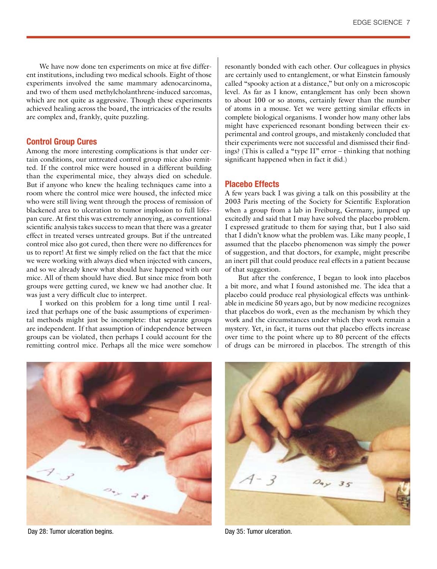We have now done ten experiments on mice at five different institutions, including two medical schools. Eight of those experiments involved the same mammary adenocarcinoma, and two of them used methylcholanthrene-induced sarcomas, which are not quite as aggressive. Though these experiments achieved healing across the board, the intricacies of the results are complex and, frankly, quite puzzling.

#### **Control Group Cures**

Among the more interesting complications is that under certain conditions, our untreated control group mice also remitted. If the control mice were housed in a different building than the experimental mice, they always died on schedule. But if anyone who knew the healing techniques came into a room where the control mice were housed, the infected mice who were still living went through the process of remission of blackened area to ulceration to tumor implosion to full lifespan cure. At first this was extremely annoying, as conventional scientific analysis takes success to mean that there was a greater effect in treated verses untreated groups. But if the untreated control mice also got cured, then there were no differences for us to report! At first we simply relied on the fact that the mice we were working with always died when injected with cancers, and so we already knew what should have happened with our mice. All of them should have died. But since mice from both groups were getting cured, we knew we had another clue. It was just a very difficult clue to interpret.

I worked on this problem for a long time until I realized that perhaps one of the basic assumptions of experimental methods might just be incomplete: that separate groups are independent. If that assumption of independence between groups can be violated, then perhaps I could account for the remitting control mice. Perhaps all the mice were somehow

resonantly bonded with each other. Our colleagues in physics are certainly used to entanglement, or what Einstein famously called "spooky action at a distance," but only on a microscopic level. As far as I know, entanglement has only been shown to about 100 or so atoms, certainly fewer than the number of atoms in a mouse. Yet we were getting similar effects in complete biological organisms. I wonder how many other labs might have experienced resonant bonding between their experimental and control groups, and mistakenly concluded that their experiments were not successful and dismissed their findings? (This is called a "type II" error – thinking that nothing significant happened when in fact it did.)

## **Placebo Effects**

A few years back I was giving a talk on this possibility at the 2003 Paris meeting of the Society for Scientific Exploration when a group from a lab in Freiburg, Germany, jumped up excitedly and said that I may have solved the placebo problem. I expressed gratitude to them for saying that, but I also said that I didn't know what the problem was. Like many people, I assumed that the placebo phenomenon was simply the power of suggestion, and that doctors, for example, might prescribe an inert pill that could produce real effects in a patient because of that suggestion.

But after the conference, I began to look into placebos a bit more, and what I found astonished me. The idea that a placebo could produce real physiological effects was unthinkable in medicine 50 years ago, but by now medicine recognizes that placebos do work, even as the mechanism by which they work and the circumstances under which they work remain a mystery. Yet, in fact, it turns out that placebo effects increase over time to the point where up to 80 percent of the effects of drugs can be mirrored in placebos. The strength of this



Day 28: Tumor ulceration begins. The contract of the contract of the Day 35: Tumor ulceration.

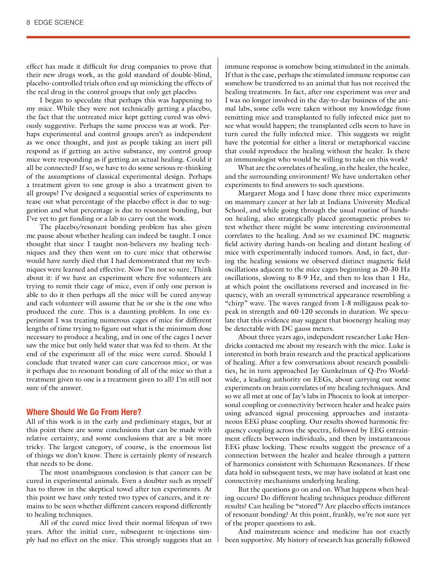effect has made it difficult for drug companies to prove that their new drugs work, as the gold standard of double-blind, placebo-controlled trials often end up mimicking the effects of the real drug in the control groups that only get placebo.

I began to speculate that perhaps this was happening to my mice. While they were not technically getting a placebo, the fact that the untreated mice kept getting cured was obviously suggestive. Perhaps the same process was at work. Perhaps experimental and control groups aren't as independent as we once thought, and just as people taking an inert pill respond as if getting an active substance, my control group mice were responding as if getting an actual healing. Could it all be connected? If so, we have to do some serious re-thinking of the assumptions of classical experimental design. Perhaps a treatment given to one group is also a treatment given to all groups? I've designed a sequential series of experiments to tease out what percentage of the placebo effect is due to suggestion and what percentage is due to resonant bonding, but I've yet to get funding or a lab to carry out the work.

The placebo/resonant bonding problem has also given me pause about whether healing can indeed be taught. I once thought that since I taught non-believers my healing techniques and they then went on to cure mice that otherwise would have surely died that I had demonstrated that my techniques were learned and effective. Now I'm not so sure. Think about it: if we have an experiment where five volunteers are trying to remit their cage of mice, even if only one person is able to do it then perhaps all the mice will be cured anyway and each volunteer will assume that he or she is the one who produced the cure. This is a daunting problem. In one experiment I was treating numerous cages of mice for different lengths of time trying to figure out what is the minimum dose necessary to produce a healing, and in one of the cages I never saw the mice but only held water that was fed to them. At the end of the experiment all of the mice were cured. Should I conclude that treated water can cure cancerous mice, or was it perhaps due to resonant bonding of all of the mice so that a treatment given to one is a treatment given to all? I'm still not sure of the answer.

## **Where Should We Go From Here?**

All of this work is in the early and preliminary stages, but at this point there are some conclusions that can be made with relative certainty, and some conclusions that are a bit more tricky. The largest category, of course, is the enormous list of things we don't know. There is certainly plenty of research that needs to be done.

The most unambiguous conclusion is that cancer can be cured in experimental animals. Even a doubter such as myself has to throw in the skeptical towel after ten experiments. At this point we have only tested two types of cancers, and it remains to be seen whether different cancers respond differently to healing techniques.

All of the cured mice lived their normal lifespan of two years. After the initial cure, subsequent re-injections simply had no effect on the mice. This strongly suggests that an

immune response is somehow being stimulated in the animals. If that is the case, perhaps the stimulated immune response can somehow be transferred to an animal that has not received the healing treatments. In fact, after one experiment was over and I was no longer involved in the day-to-day business of the animal labs, some cells were taken without my knowledge from remitting mice and transplanted to fully infected mice just to see what would happen; the transplanted cells seem to have in turn cured the fully infected mice. This suggests we might have the potential for either a literal or metaphorical vaccine that could reproduce the healing without the healer. Is there an immunologist who would be willing to take on this work?

What are the correlates of healing, in the healer, the healee, and the surrounding environment? We have undertaken other experiments to find answers to such questions.

Margaret Moga and I have done three mice experiments on mammary cancer at her lab at Indiana University Medical School, and while going through the usual routine of handson healing, also strategically placed geomagnetic probes to test whether there might be some interesting environmental correlates to the healing. And so we examined DC magnetic field activity during hands-on healing and distant healing of mice with experimentally induced tumors. And, in fact, during the healing sessions we observed distinct magnetic field oscillations adjacent to the mice cages beginning as 20-30 Hz oscillations, slowing to 8-9 Hz, and then to less than 1 Hz, at which point the oscillations reversed and increased in frequency, with an overall symmetrical appearance resembling a "chirp" wave. The waves ranged from 1-8 milligauss peak-topeak in strength and 60-120 seconds in duration. We speculate that this evidence may suggest that bioenergy healing may be detectable with DC gauss meters.

About three years ago, independent researcher Luke Hendricks contacted me about my research with the mice. Luke is interested in both brain research and the practical applications of healing. After a few conversations about research possibilities, he in turn approached Jay Gunkelman of Q-Pro Worldwide, a leading authority on EEGs, about carrying out some experiments on brain correlates of my healing techniques. And so we all met at one of Jay's labs in Phoenix to look at interpersonal coupling or connectivity between healer and healee pairs using advanced signal processing approaches and instantaneous EEG phase coupling. Our results showed harmonic frequency coupling across the spectra, followed by EEG entrainment effects between individuals, and then by instantaneous EEG phase locking. These results suggest the presence of a connection between the healer and healee through a pattern of harmonics consistent with Schumann Resonances. If these data hold in subsequent tests, we may have isolated at least one connectivity mechanisms underlying healing.

But the questions go on and on. What happens when healing occurs? Do different healing techniques produce different results? Can healing be "stored"? Are placebo effects instances of resonant bonding? At this point, frankly, we're not sure yet of the proper questions to ask.

And mainstream science and medicine has not exactly been supportive. My history of research has generally followed